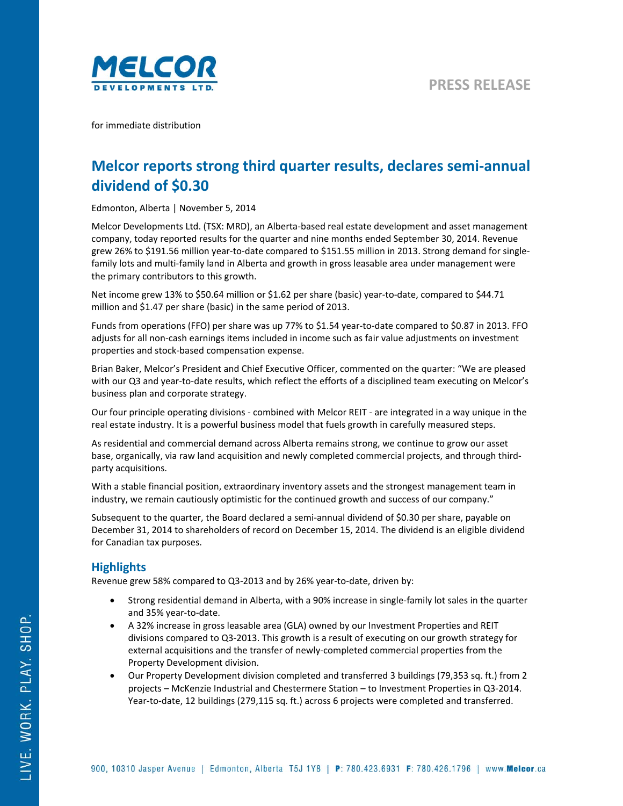

for immediate distribution

# **Melcor reports strong third quarter results, declares semi‐annual dividend of \$0.30**

Edmonton, Alberta | November 5, 2014

Melcor Developments Ltd. (TSX: MRD), an Alberta‐based real estate development and asset management company, today reported results for the quarter and nine months ended September 30, 2014. Revenue grew 26% to \$191.56 million year-to-date compared to \$151.55 million in 2013. Strong demand for singlefamily lots and multi-family land in Alberta and growth in gross leasable area under management were the primary contributors to this growth.

Net income grew 13% to \$50.64 million or \$1.62 per share (basic) year-to-date, compared to \$44.71 million and \$1.47 per share (basic) in the same period of 2013.

Funds from operations (FFO) per share was up 77% to \$1.54 year-to-date compared to \$0.87 in 2013. FFO adjusts for all non‐cash earnings items included in income such as fair value adjustments on investment properties and stock‐based compensation expense.

Brian Baker, Melcor's President and Chief Executive Officer, commented on the quarter: "We are pleased with our Q3 and year-to-date results, which reflect the efforts of a disciplined team executing on Melcor's business plan and corporate strategy.

Our four principle operating divisions ‐ combined with Melcor REIT ‐ are integrated in a way unique in the real estate industry. It is a powerful business model that fuels growth in carefully measured steps.

As residential and commercial demand across Alberta remains strong, we continue to grow our asset base, organically, via raw land acquisition and newly completed commercial projects, and through third‐ party acquisitions.

With a stable financial position, extraordinary inventory assets and the strongest management team in industry, we remain cautiously optimistic for the continued growth and success of our company."

Subsequent to the quarter, the Board declared a semi‐annual dividend of \$0.30 per share, payable on December 31, 2014 to shareholders of record on December 15, 2014. The dividend is an eligible dividend for Canadian tax purposes.

## **Highlights**

Revenue grew 58% compared to Q3-2013 and by 26% year-to-date, driven by:

- Strong residential demand in Alberta, with a 90% increase in single-family lot sales in the quarter and 35% year‐to‐date.
- A 32% increase in gross leasable area (GLA) owned by our Investment Properties and REIT divisions compared to Q3‐2013. This growth is a result of executing on our growth strategy for external acquisitions and the transfer of newly‐completed commercial properties from the Property Development division.
- Our Property Development division completed and transferred 3 buildings (79,353 sq. ft.) from 2 projects – McKenzie Industrial and Chestermere Station – to Investment Properties in Q3‐2014. Year-to-date, 12 buildings (279,115 sq. ft.) across 6 projects were completed and transferred.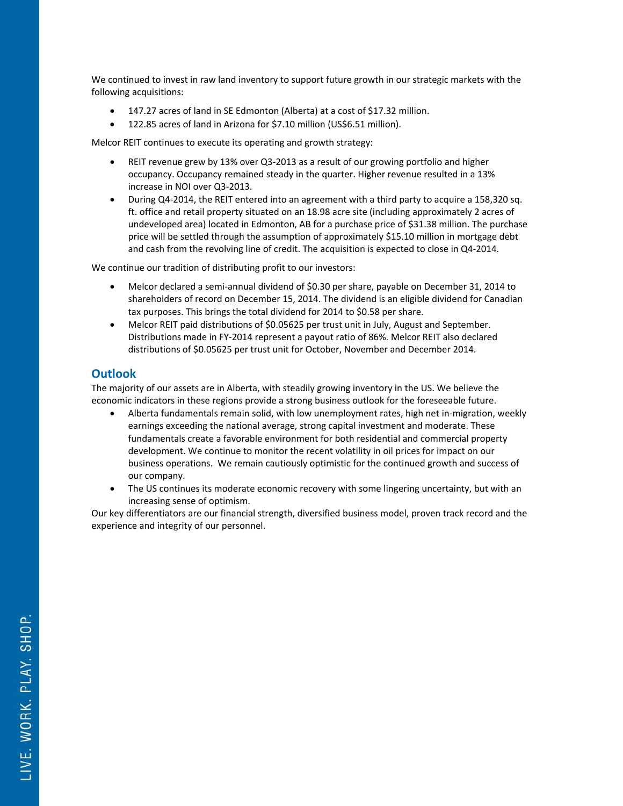We continued to invest in raw land inventory to support future growth in our strategic markets with the following acquisitions:

- 147.27 acres of land in SE Edmonton (Alberta) at a cost of \$17.32 million.
- 122.85 acres of land in Arizona for \$7.10 million (US\$6.51 million).

Melcor REIT continues to execute its operating and growth strategy:

- REIT revenue grew by 13% over Q3‐2013 as a result of our growing portfolio and higher occupancy. Occupancy remained steady in the quarter. Higher revenue resulted in a 13% increase in NOI over Q3‐2013.
- During Q4-2014, the REIT entered into an agreement with a third party to acquire a 158,320 sq. ft. office and retail property situated on an 18.98 acre site (including approximately 2 acres of undeveloped area) located in Edmonton, AB for a purchase price of \$31.38 million. The purchase price will be settled through the assumption of approximately \$15.10 million in mortgage debt and cash from the revolving line of credit. The acquisition is expected to close in Q4‐2014.

We continue our tradition of distributing profit to our investors:

- Melcor declared a semi‐annual dividend of \$0.30 per share, payable on December 31, 2014 to shareholders of record on December 15, 2014. The dividend is an eligible dividend for Canadian tax purposes. This brings the total dividend for 2014 to \$0.58 per share.
- Melcor REIT paid distributions of \$0.05625 per trust unit in July, August and September. Distributions made in FY‐2014 represent a payout ratio of 86%. Melcor REIT also declared distributions of \$0.05625 per trust unit for October, November and December 2014.

### **Outlook**

The majority of our assets are in Alberta, with steadily growing inventory in the US. We believe the economic indicators in these regions provide a strong business outlook for the foreseeable future.

- Alberta fundamentals remain solid, with low unemployment rates, high net in‐migration, weekly earnings exceeding the national average, strong capital investment and moderate. These fundamentals create a favorable environment for both residential and commercial property development. We continue to monitor the recent volatility in oil prices for impact on our business operations. We remain cautiously optimistic for the continued growth and success of our company.
- The US continues its moderate economic recovery with some lingering uncertainty, but with an increasing sense of optimism.

Our key differentiators are our financial strength, diversified business model, proven track record and the experience and integrity of our personnel.